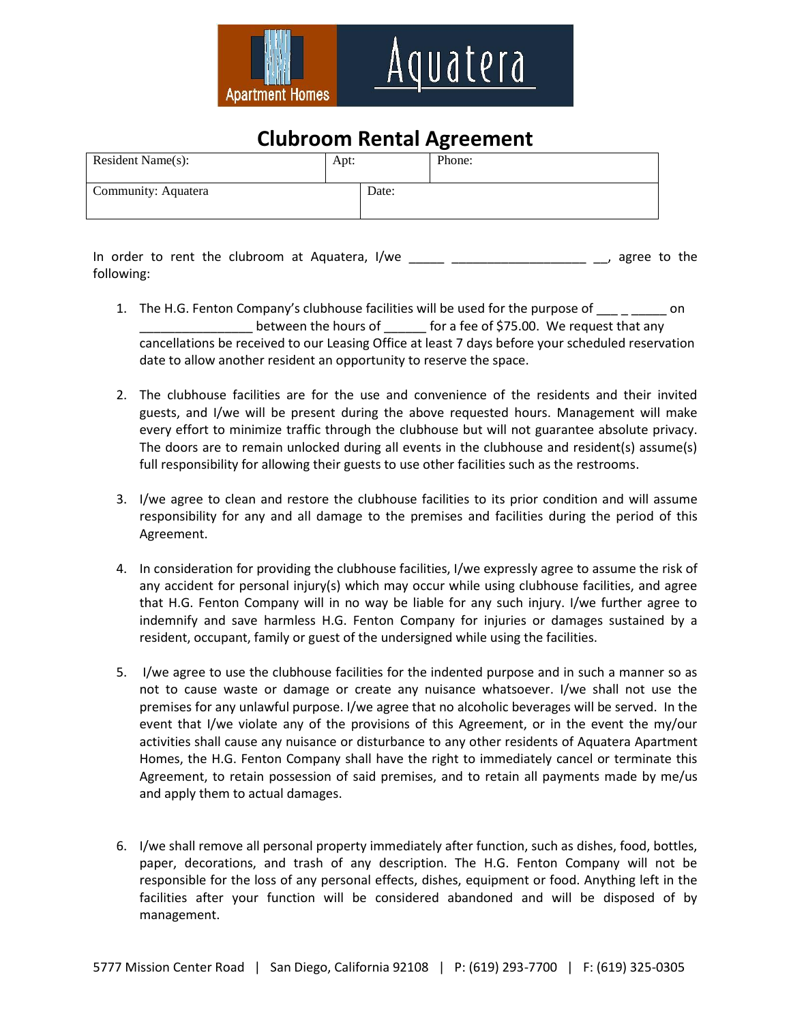

## **Clubroom Rental Agreement**

| Resident Name(s):   | Apt: |       | Phone: |
|---------------------|------|-------|--------|
| Community: Aquatera |      | Date: |        |

In order to rent the clubroom at Aquatera, I/we example the same control of the same control of the law ratio of the same control of the same control of the same control of the same control of the same control of the same following:

- 1. The H.G. Fenton Company's clubhouse facilities will be used for the purpose of on between the hours of for a fee of \$75.00. We request that any cancellations be received to our Leasing Office at least 7 days before your scheduled reservation date to allow another resident an opportunity to reserve the space.
- 2. The clubhouse facilities are for the use and convenience of the residents and their invited guests, and I/we will be present during the above requested hours. Management will make every effort to minimize traffic through the clubhouse but will not guarantee absolute privacy. The doors are to remain unlocked during all events in the clubhouse and resident(s) assume(s) full responsibility for allowing their guests to use other facilities such as the restrooms.
- 3. I/we agree to clean and restore the clubhouse facilities to its prior condition and will assume responsibility for any and all damage to the premises and facilities during the period of this Agreement.
- 4. In consideration for providing the clubhouse facilities, I/we expressly agree to assume the risk of any accident for personal injury(s) which may occur while using clubhouse facilities, and agree that H.G. Fenton Company will in no way be liable for any such injury. I/we further agree to indemnify and save harmless H.G. Fenton Company for injuries or damages sustained by a resident, occupant, family or guest of the undersigned while using the facilities.
- 5. I/we agree to use the clubhouse facilities for the indented purpose and in such a manner so as not to cause waste or damage or create any nuisance whatsoever. I/we shall not use the premises for any unlawful purpose. I/we agree that no alcoholic beverages will be served. In the event that I/we violate any of the provisions of this Agreement, or in the event the my/our activities shall cause any nuisance or disturbance to any other residents of Aquatera Apartment Homes, the H.G. Fenton Company shall have the right to immediately cancel or terminate this Agreement, to retain possession of said premises, and to retain all payments made by me/us and apply them to actual damages.
- 6. I/we shall remove all personal property immediately after function, such as dishes, food, bottles, paper, decorations, and trash of any description. The H.G. Fenton Company will not be responsible for the loss of any personal effects, dishes, equipment or food. Anything left in the facilities after your function will be considered abandoned and will be disposed of by management.